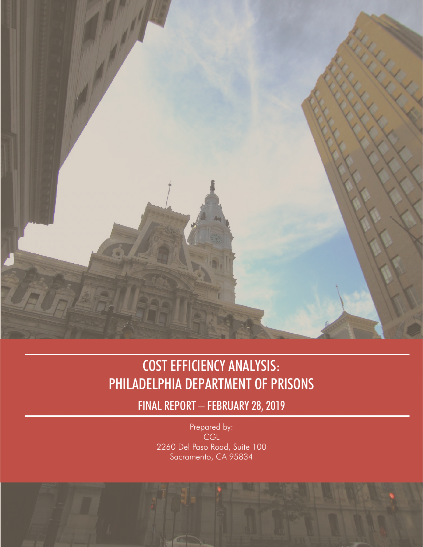

## COST EFFICIENCY ANALYSIS: PHILADELPHIA DEPARTMENT OF PRISONS

FINAL REPORT – FEBRUARY 28, 2019

Prepared by: CGL 2260 Del Paso Road, Suite 100 Sacramento, CA 95834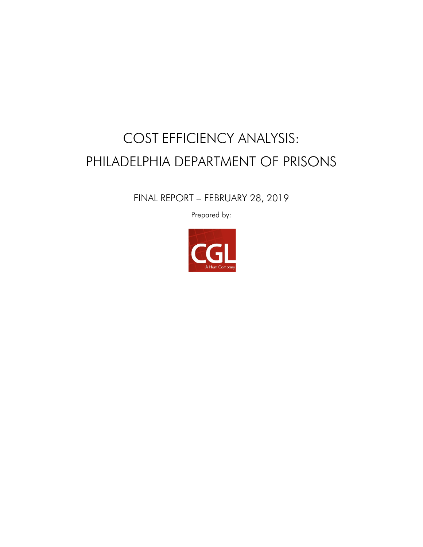# COST EFFICIENCY ANALYSIS: PHILADELPHIA DEPARTMENT OF PRISONS

FINAL REPORT – FEBRUARY 28, 2019

Prepared by:

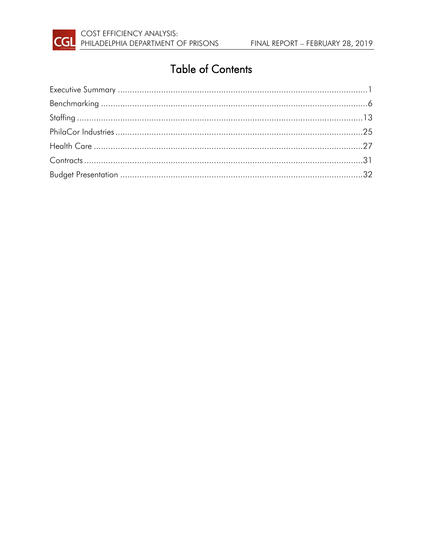

## **Table of Contents**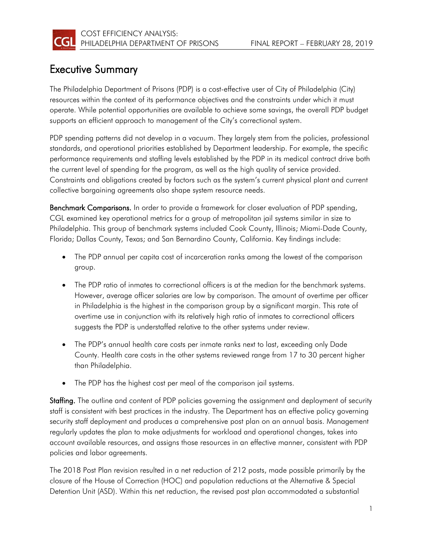

### <span id="page-3-0"></span>Executive Summary

The Philadelphia Department of Prisons (PDP) is a cost-effective user of City of Philadelphia (City) resources within the context of its performance objectives and the constraints under which it must operate. While potential opportunities are available to achieve some savings, the overall PDP budget supports an efficient approach to management of the City's correctional system.

PDP spending patterns did not develop in a vacuum. They largely stem from the policies, professional standards, and operational priorities established by Department leadership. For example, the specific performance requirements and staffing levels established by the PDP in its medical contract drive both the current level of spending for the program, as well as the high quality of service provided. Constraints and obligations created by factors such as the system's current physical plant and current collective bargaining agreements also shape system resource needs.

Benchmark Comparisons. In order to provide a framework for closer evaluation of PDP spending, CGL examined key operational metrics for a group of metropolitan jail systems similar in size to Philadelphia. This group of benchmark systems included Cook County, Illinois; Miami-Dade County, Florida; Dallas County, Texas; and San Bernardino County, California. Key findings include:

- The PDP annual per capita cost of incarceration ranks among the lowest of the comparison group.
- The PDP ratio of inmates to correctional officers is at the median for the benchmark systems. However, average officer salaries are low by comparison. The amount of overtime per officer in Philadelphia is the highest in the comparison group by a significant margin. This rate of overtime use in conjunction with its relatively high ratio of inmates to correctional officers suggests the PDP is understaffed relative to the other systems under review.
- The PDP's annual health care costs per inmate ranks next to last, exceeding only Dade County. Health care costs in the other systems reviewed range from 17 to 30 percent higher than Philadelphia.
- The PDP has the highest cost per meal of the comparison jail systems.

Staffing. The outline and content of PDP policies governing the assignment and deployment of security staff is consistent with best practices in the industry. The Department has an effective policy governing security staff deployment and produces a comprehensive post plan on an annual basis. Management regularly updates the plan to make adjustments for workload and operational changes, takes into account available resources, and assigns those resources in an effective manner, consistent with PDP policies and labor agreements.

The 2018 Post Plan revision resulted in a net reduction of 212 posts, made possible primarily by the closure of the House of Correction (HOC) and population reductions at the Alternative & Special Detention Unit (ASD). Within this net reduction, the revised post plan accommodated a substantial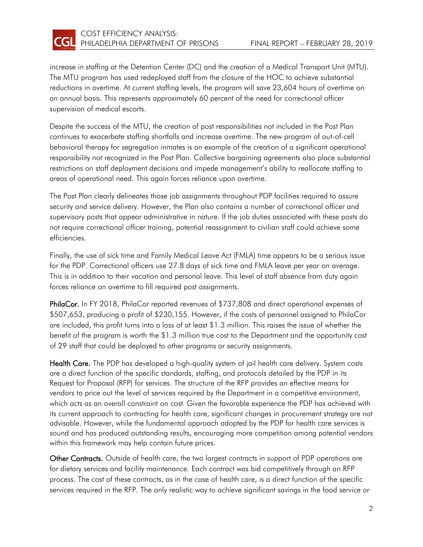

increase in staffing at the Detention Center (DC) and the creation of a Medical Transport Unit (MTU). The MTU program has used redeployed staff from the closure of the HOC to achieve substantial reductions in overtime. At current staffing levels, the program will save 23,604 hours of overtime on an annual basis. This represents approximately 60 percent of the need for correctional officer supervision of medical escorts.

Despite the success of the MTU, the creation of post responsibilities not included in the Post Plan continues to exacerbate staffing shortfalls and increase overtime. The new program of out-of-cell behavioral therapy for segregation inmates is an example of the creation of a significant operational responsibility not recognized in the Post Plan. Collective bargaining agreements also place substantial restrictions on staff deployment decisions and impede management's ability to reallocate staffing to areas of operational need. This again forces reliance upon overtime.

The Post Plan clearly delineates those job assignments throughout PDP facilities required to assure security and service delivery. However, the Plan also contains a number of correctional officer and supervisory posts that appear administrative in nature. If the job duties associated with these posts do not require correctional officer training, potential reassignment to civilian staff could achieve some efficiencies.

Finally, the use of sick time and Family Medical Leave Act (FMLA) time appears to be a serious issue for the PDP. Correctional officers use 27.8 days of sick time and FMLA leave per year on average. This is in addition to their vacation and personal leave. This level of staff absence from duty again forces reliance on overtime to fill required post assignments.

PhilaCor. In FY 2018, PhilaCor reported revenues of \$737,808 and direct operational expenses of \$507,653, producing a profit of \$230,155. However, if the costs of personnel assigned to PhilaCor are included, this profit turns into a loss of at least \$1.3 million. This raises the issue of whether the benefit of the program is worth the \$1.3 million true cost to the Department and the opportunity cost of 29 staff that could be deployed to other programs or security assignments.

Health Care. The PDP has developed a high-quality system of jail health care delivery. System costs are a direct function of the specific standards, staffing, and protocols detailed by the PDP in its Request for Proposal (RFP) for services. The structure of the RFP provides an effective means for vendors to price out the level of services required by the Department in a competitive environment, which acts as an overall constraint on cost. Given the favorable experience the PDP has achieved with its current approach to contracting for health care, significant changes in procurement strategy are not advisable. However, while the fundamental approach adopted by the PDP for health care services is sound and has produced outstanding results, encouraging more competition among potential vendors within this framework may help contain future prices.

Other Contracts. Outside of health care, the two largest contracts in support of PDP operations are for dietary services and facility maintenance. Each contract was bid competitively through an RFP process. The cost of these contracts, as in the case of health care, is a direct function of the specific services required in the RFP. The only realistic way to achieve significant savings in the food service or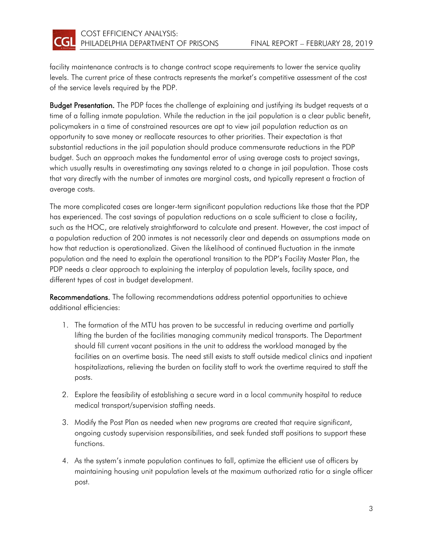

facility maintenance contracts is to change contract scope requirements to lower the service quality levels. The current price of these contracts represents the market's competitive assessment of the cost of the service levels required by the PDP.

Budget Presentation. The PDP faces the challenge of explaining and justifying its budget requests at a time of a falling inmate population. While the reduction in the jail population is a clear public benefit, policymakers in a time of constrained resources are apt to view jail population reduction as an opportunity to save money or reallocate resources to other priorities. Their expectation is that substantial reductions in the jail population should produce commensurate reductions in the PDP budget. Such an approach makes the fundamental error of using average costs to project savings, which usually results in overestimating any savings related to a change in jail population. Those costs that vary directly with the number of inmates are marginal costs, and typically represent a fraction of average costs.

The more complicated cases are longer-term significant population reductions like those that the PDP has experienced. The cost savings of population reductions on a scale sufficient to close a facility, such as the HOC, are relatively straightforward to calculate and present. However, the cost impact of a population reduction of 200 inmates is not necessarily clear and depends on assumptions made on how that reduction is operationalized. Given the likelihood of continued fluctuation in the inmate population and the need to explain the operational transition to the PDP's Facility Master Plan, the PDP needs a clear approach to explaining the interplay of population levels, facility space, and different types of cost in budget development.

Recommendations. The following recommendations address potential opportunities to achieve additional efficiencies:

- 1. The formation of the MTU has proven to be successful in reducing overtime and partially lifting the burden of the facilities managing community medical transports. The Department should fill current vacant positions in the unit to address the workload managed by the facilities on an overtime basis. The need still exists to staff outside medical clinics and inpatient hospitalizations, relieving the burden on facility staff to work the overtime required to staff the posts.
- 2. Explore the feasibility of establishing a secure ward in a local community hospital to reduce medical transport/supervision staffing needs.
- 3. Modify the Post Plan as needed when new programs are created that require significant, ongoing custody supervision responsibilities, and seek funded staff positions to support these functions.
- 4. As the system's inmate population continues to fall, optimize the efficient use of officers by maintaining housing unit population levels at the maximum authorized ratio for a single officer post.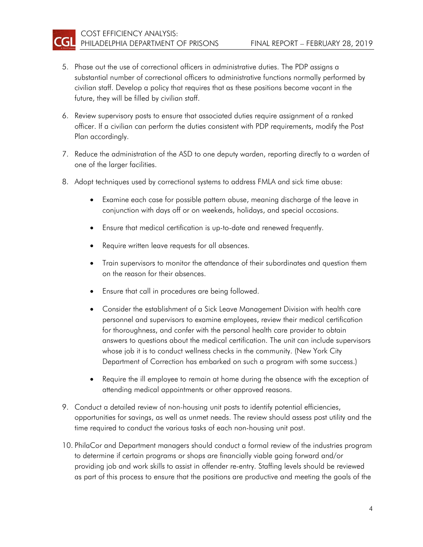CGI

- 5. Phase out the use of correctional officers in administrative duties. The PDP assigns a substantial number of correctional officers to administrative functions normally performed by civilian staff. Develop a policy that requires that as these positions become vacant in the future, they will be filled by civilian staff.
- 6. Review supervisory posts to ensure that associated duties require assignment of a ranked officer. If a civilian can perform the duties consistent with PDP requirements, modify the Post Plan accordingly.
- 7. Reduce the administration of the ASD to one deputy warden, reporting directly to a warden of one of the larger facilities.
- 8. Adopt techniques used by correctional systems to address FMLA and sick time abuse:
	- Examine each case for possible pattern abuse, meaning discharge of the leave in conjunction with days off or on weekends, holidays, and special occasions.
	- Ensure that medical certification is up-to-date and renewed frequently.
	- Require written leave requests for all absences.
	- Train supervisors to monitor the attendance of their subordinates and question them on the reason for their absences.
	- Ensure that call in procedures are being followed.
	- Consider the establishment of a Sick Leave Management Division with health care personnel and supervisors to examine employees, review their medical certification for thoroughness, and confer with the personal health care provider to obtain answers to questions about the medical certification. The unit can include supervisors whose job it is to conduct wellness checks in the community. (New York City Department of Correction has embarked on such a program with some success.)
	- Require the ill employee to remain at home during the absence with the exception of attending medical appointments or other approved reasons.
- 9. Conduct a detailed review of non-housing unit posts to identify potential efficiencies, opportunities for savings, as well as unmet needs. The review should assess post utility and the time required to conduct the various tasks of each non-housing unit post.
- 10. PhilaCor and Department managers should conduct a formal review of the industries program to determine if certain programs or shops are financially viable going forward and/or providing job and work skills to assist in offender re-entry. Staffing levels should be reviewed as part of this process to ensure that the positions are productive and meeting the goals of the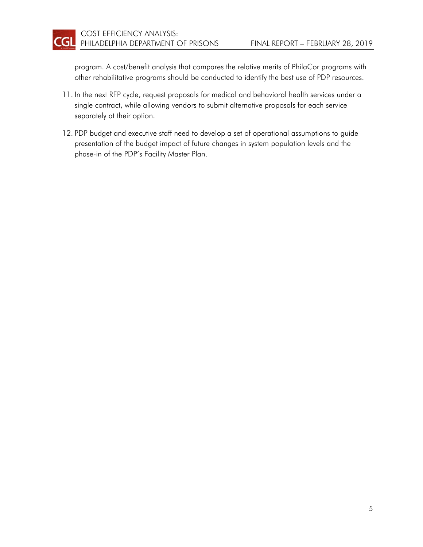program. A cost/benefit analysis that compares the relative merits of PhilaCor programs with other rehabilitative programs should be conducted to identify the best use of PDP resources.

- 11. In the next RFP cycle, request proposals for medical and behavioral health services under a single contract, while allowing vendors to submit alternative proposals for each service separately at their option.
- 12. PDP budget and executive staff need to develop a set of operational assumptions to guide presentation of the budget impact of future changes in system population levels and the phase-in of the PDP's Facility Master Plan.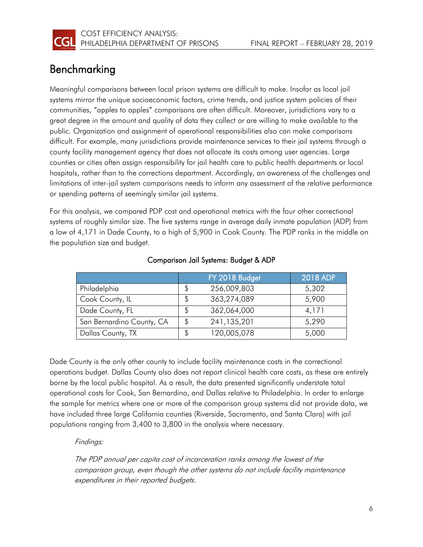

### <span id="page-8-0"></span>Benchmarking

Meaningful comparisons between local prison systems are difficult to make. Insofar as local jail systems mirror the unique socioeconomic factors, crime trends, and justice system policies of their communities, "apples to apples" comparisons are often difficult. Moreover, jurisdictions vary to a great degree in the amount and quality of data they collect or are willing to make available to the public. Organization and assignment of operational responsibilities also can make comparisons difficult. For example, many jurisdictions provide maintenance services to their jail systems through a county facility management agency that does not allocate its costs among user agencies. Large counties or cities often assign responsibility for jail health care to public health departments or local hospitals, rather than to the corrections department. Accordingly, an awareness of the challenges and limitations of inter-jail system comparisons needs to inform any assessment of the relative performance or spending patterns of seemingly similar jail systems.

For this analysis, we compared PDP cost and operational metrics with the four other correctional systems of roughly similar size. The five systems range in average daily inmate population (ADP) from a low of 4,171 in Dade County, to a high of 5,900 in Cook County. The PDP ranks in the middle on the population size and budget.

|                           |    | FY 2018 Budget | 2018 ADP |
|---------------------------|----|----------------|----------|
| Philadelphia              |    | 256,009,803    | 5,302    |
| Cook County, IL           |    | 363,274,089    | 5,900    |
| Dade County, FL           | S  | 362,064,000    | 4,171    |
| San Bernardino County, CA | \$ | 241,135,201    | 5,290    |
| Dallas County, TX         |    | 120,005,078    | 5,000    |

#### Comparison Jail Systems: Budget & ADP

Dade County is the only other county to include facility maintenance costs in the correctional operations budget. Dallas County also does not report clinical health care costs, as these are entirely borne by the local public hospital. As a result, the data presented significantly understate total operational costs for Cook, San Bernardino, and Dallas relative to Philadelphia. In order to enlarge the sample for metrics where one or more of the comparison group systems did not provide data, we have included three large California counties (Riverside, Sacramento, and Santa Clara) with jail populations ranging from 3,400 to 3,800 in the analysis where necessary.

#### Findings:

The PDP annual per capita cost of incarceration ranks among the lowest of the comparison group, even though the other systems do not include facility maintenance expenditures in their reported budgets.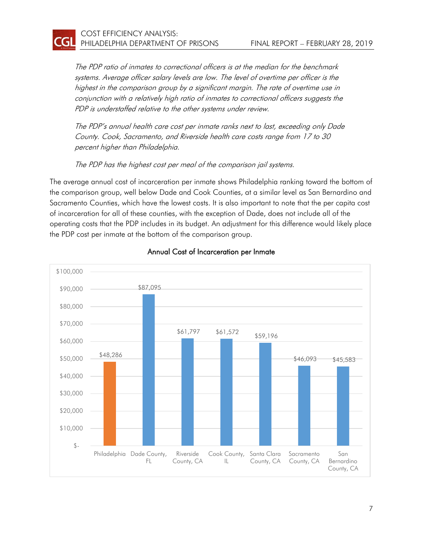CGI

The PDP ratio of inmates to correctional officers is at the median for the benchmark systems. Average officer salary levels are low. The level of overtime per officer is the highest in the comparison group by a significant margin. The rate of overtime use in conjunction with a relatively high ratio of inmates to correctional officers suggests the PDP is understaffed relative to the other systems under review.

The PDP's annual health care cost per inmate ranks next to last, exceeding only Dade County. Cook, Sacramento, and Riverside health care costs range from 17 to 30 percent higher than Philadelphia.

The PDP has the highest cost per meal of the comparison jail systems.

The average annual cost of incarceration per inmate shows Philadelphia ranking toward the bottom of the comparison group, well below Dade and Cook Counties, at a similar level as San Bernardino and Sacramento Counties, which have the lowest costs. It is also important to note that the per capita cost of incarceration for all of these counties, with the exception of Dade, does not include all of the operating costs that the PDP includes in its budget. An adjustment for this difference would likely place the PDP cost per inmate at the bottom of the comparison group.



#### Annual Cost of Incarceration per Inmate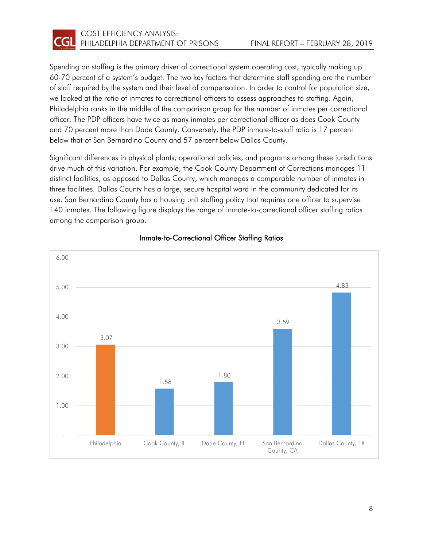

Spending on staffing is the primary driver of correctional system operating cost, typically making up 60-70 percent of a system's budget. The two key factors that determine staff spending are the number of staff required by the system and their level of compensation. In order to control for population size, we looked at the ratio of inmates to correctional officers to assess approaches to staffing. Again, Philadelphia ranks in the middle of the comparison group for the number of inmates per correctional officer. The PDP officers have twice as many inmates per correctional officer as does Cook County and 70 percent more than Dade County. Conversely, the PDP inmate-to-staff ratio is 17 percent below that of San Bernardino County and 57 percent below Dallas County.

Significant differences in physical plants, operational policies, and programs among these jurisdictions drive much of this variation. For example, the Cook County Department of Corrections manages 11 distinct facilities, as opposed to Dallas County, which manages a comparable number of inmates in three facilities. Dallas County has a large, secure hospital ward in the community dedicated for its use. San Bernardino County has a housing unit staffing policy that requires one officer to supervise 140 inmates. The following figure displays the range of inmate-to-correctional officer staffing ratios among the comparison group.



#### Inmate-to-Correctional Officer Staffing Ratios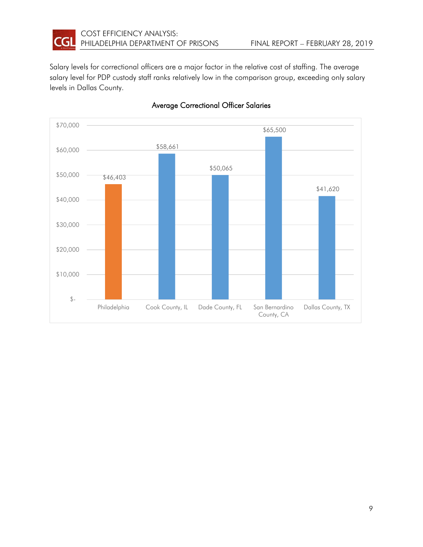

Salary levels for correctional officers are a major factor in the relative cost of staffing. The average salary level for PDP custody staff ranks relatively low in the comparison group, exceeding only salary levels in Dallas County.



#### Average Correctional Officer Salaries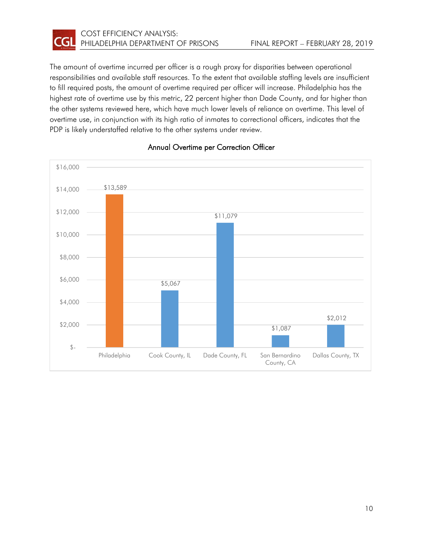

The amount of overtime incurred per officer is a rough proxy for disparities between operational responsibilities and available staff resources. To the extent that available staffing levels are insufficient to fill required posts, the amount of overtime required per officer will increase. Philadelphia has the highest rate of overtime use by this metric, 22 percent higher than Dade County, and far higher than the other systems reviewed here, which have much lower levels of reliance on overtime. This level of overtime use, in conjunction with its high ratio of inmates to correctional officers, indicates that the PDP is likely understaffed relative to the other systems under review.



#### Annual Overtime per Correction Officer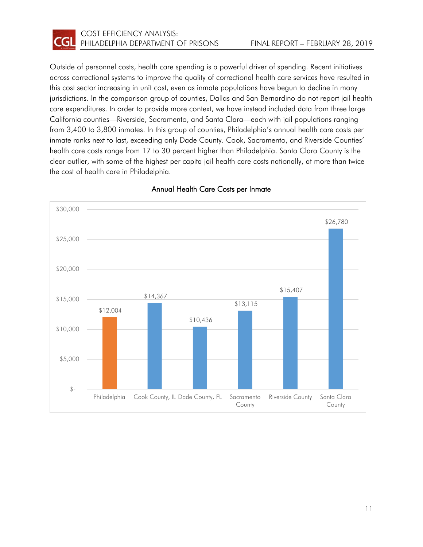

Outside of personnel costs, health care spending is a powerful driver of spending. Recent initiatives across correctional systems to improve the quality of correctional health care services have resulted in this cost sector increasing in unit cost, even as inmate populations have begun to decline in many jurisdictions. In the comparison group of counties, Dallas and San Bernardino do not report jail health care expenditures. In order to provide more context, we have instead included data from three large California counties—Riverside, Sacramento, and Santa Clara—each with jail populations ranging from 3,400 to 3,800 inmates. In this group of counties, Philadelphia's annual health care costs per inmate ranks next to last, exceeding only Dade County. Cook, Sacramento, and Riverside Counties' health care costs range from 17 to 30 percent higher than Philadelphia. Santa Clara County is the clear outlier, with some of the highest per capita jail health care costs nationally, at more than twice the cost of health care in Philadelphia.



#### Annual Health Care Costs per Inmate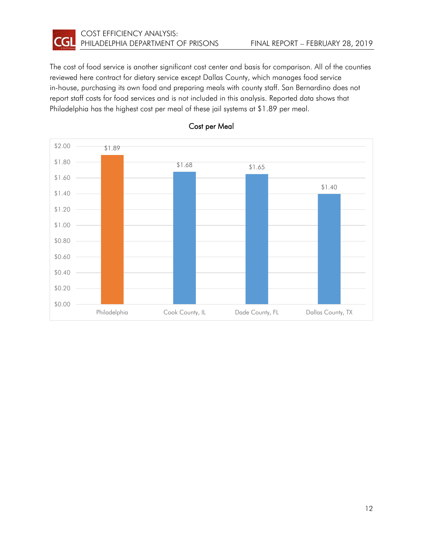

The cost of food service is another significant cost center and basis for comparison. All of the counties reviewed here contract for dietary service except Dallas County, which manages food service in-house, purchasing its own food and preparing meals with county staff. San Bernardino does not report staff costs for food services and is not included in this analysis. Reported data shows that Philadelphia has the highest cost per meal of these jail systems at \$1.89 per meal.



#### Cost per Meal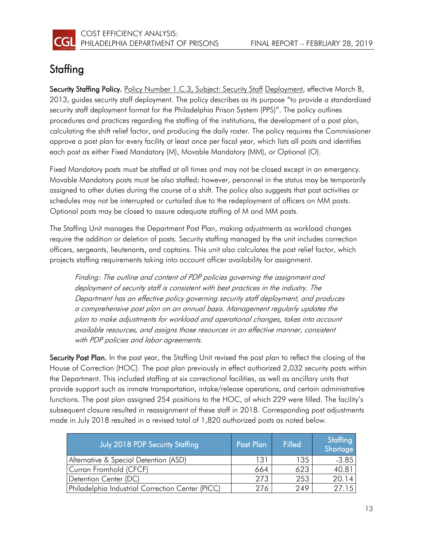

### <span id="page-15-0"></span>**Staffing**

Security Staffing Policy. Policy Number 1.C.3, Subject: Security Staff Deployment, effective March 8, 2013, guides security staff deployment. The policy describes as its purpose "to provide a standardized security staff deployment format for the Philadelphia Prison System (PPS)". The policy outlines procedures and practices regarding the staffing of the institutions, the development of a post plan, calculating the shift relief factor, and producing the daily roster. The policy requires the Commissioner approve a post plan for every facility at least once per fiscal year, which lists all posts and identifies each post as either Fixed Mandatory (M), Movable Mandatory (MM), or Optional (O).

Fixed Mandatory posts must be staffed at all times and may not be closed except in an emergency. Movable Mandatory posts must be also staffed; however, personnel in the status may be temporarily assigned to other duties during the course of a shift. The policy also suggests that post activities or schedules may not be interrupted or curtailed due to the redeployment of officers on MM posts. Optional posts may be closed to assure adequate staffing of M and MM posts.

The Staffing Unit manages the Department Post Plan, making adjustments as workload changes require the addition or deletion of posts. Security staffing managed by the unit includes correction officers, sergeants, lieutenants, and captains. This unit also calculates the post relief factor, which projects staffing requirements taking into account officer availability for assignment.

Finding: The outline and content of PDP policies governing the assignment and deployment of security staff is consistent with best practices in the industry. The Department has an effective policy governing security staff deployment, and produces a comprehensive post plan on an annual basis. Management regularly updates the plan to make adjustments for workload and operational changes, takes into account available resources, and assigns those resources in an effective manner, consistent with PDP policies and labor agreements.

Security Post Plan. In the past year, the Staffing Unit revised the post plan to reflect the closing of the House of Correction (HOC). The post plan previously in effect authorized 2,032 security posts within the Department. This included staffing at six correctional facilities, as well as ancillary units that provide support such as inmate transportation, intake/release operations, and certain administrative functions. The post plan assigned 254 positions to the HOC, of which 229 were filled. The facility's subsequent closure resulted in reassignment of these staff in 2018. Corresponding post adjustments made in July 2018 resulted in a revised total of 1,820 authorized posts as noted below.

| July 2018 PDP Security Staffing                  | Post Plan | Filled | Staffing<br>Shortage |
|--------------------------------------------------|-----------|--------|----------------------|
| Alternative & Special Detention (ASD)            | 131       | 135.   | $-3.85$              |
| Curran Fromhold (CFCF)                           | 664       | 623    | 40.81                |
| Detention Center (DC)                            | 273       | 253    | 20.14                |
| Philadelphia Industrial Correction Center (PICC) | 276       | 249    | 27.15                |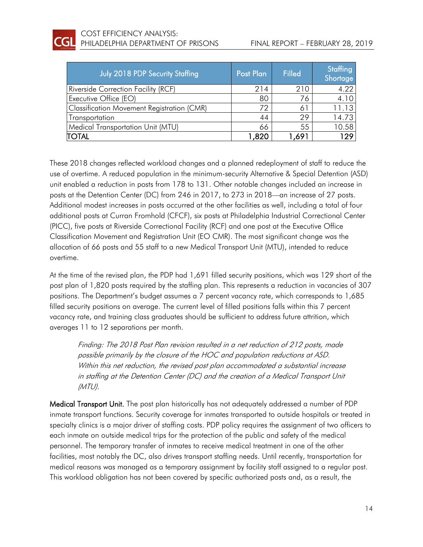| July 2018 PDP Security Staffing                   | Post Plan | <b>Filled</b> | Staffing<br>Shortage |
|---------------------------------------------------|-----------|---------------|----------------------|
| Riverside Correction Facility (RCF)               | 214       | 210           | 4.22                 |
| Executive Office (EO)                             | 80        | 76            | 4.1C                 |
| <b>Classification Movement Registration (CMR)</b> | 72        | 61            | 11.13                |
| Transportation                                    | 44        | 29            | 14.73                |
| <b>Medical Transportation Unit (MTU)</b>          | 66        | 55            | 10.58                |
| <b>TOTAL</b>                                      | 1,820     | 891. ا        | 129                  |

These 2018 changes reflected workload changes and a planned redeployment of staff to reduce the use of overtime. A reduced population in the minimum-security Alternative & Special Detention (ASD) unit enabled a reduction in posts from 178 to 131. Other notable changes included an increase in posts at the Detention Center (DC) from 246 in 2017, to 273 in 2018—an increase of 27 posts. Additional modest increases in posts occurred at the other facilities as well, including a total of four additional posts at Curran Fromhold (CFCF), six posts at Philadelphia Industrial Correctional Center (PICC), five posts at Riverside Correctional Facility (RCF) and one post at the Executive Office Classification Movement and Registration Unit (EO CMR). The most significant change was the allocation of 66 posts and 55 staff to a new Medical Transport Unit (MTU), intended to reduce overtime.

At the time of the revised plan, the PDP had 1,691 filled security positions, which was 129 short of the post plan of 1,820 posts required by the staffing plan. This represents a reduction in vacancies of 307 positions. The Department's budget assumes a 7 percent vacancy rate, which corresponds to 1,685 filled security positions on average. The current level of filled positions falls within this 7 percent vacancy rate, and training class graduates should be sufficient to address future attrition, which averages 11 to 12 separations per month.

Finding: The 2018 Post Plan revision resulted in a net reduction of 212 posts, made possible primarily by the closure of the HOC and population reductions at ASD. Within this net reduction, the revised post plan accommodated a substantial increase in staffing at the Detention Center (DC) and the creation of a Medical Transport Unit (MTU).

Medical Transport Unit. The post plan historically has not adequately addressed a number of PDP inmate transport functions. Security coverage for inmates transported to outside hospitals or treated in specialty clinics is a major driver of staffing costs. PDP policy requires the assignment of two officers to each inmate on outside medical trips for the protection of the public and safety of the medical personnel. The temporary transfer of inmates to receive medical treatment in one of the other facilities, most notably the DC, also drives transport staffing needs. Until recently, transportation for medical reasons was managed as a temporary assignment by facility staff assigned to a regular post. This workload obligation has not been covered by specific authorized posts and, as a result, the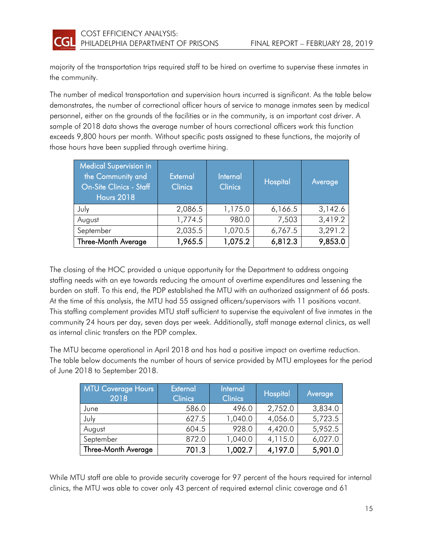

majority of the transportation trips required staff to be hired on overtime to supervise these inmates in the community.

The number of medical transportation and supervision hours incurred is significant. As the table below demonstrates, the number of correctional officer hours of service to manage inmates seen by medical personnel, either on the grounds of the facilities or in the community, is an important cost driver. A sample of 2018 data shows the average number of hours correctional officers work this function exceeds 9,800 hours per month. Without specific posts assigned to these functions, the majority of those hours have been supplied through overtime hiring.

| <b>Medical Supervision in</b><br>the Community and<br><b>On-Site Clinics - Staff</b><br><b>Hours 2018</b> | External<br><b>Clinics</b> | Internal<br><b>Clinics</b> | Hospital | Average |
|-----------------------------------------------------------------------------------------------------------|----------------------------|----------------------------|----------|---------|
| July                                                                                                      | 2,086.5                    | 1,175.0                    | 6,166.5  | 3,142.6 |
| August                                                                                                    | 1,774.5                    | 980.0                      | 7,503    | 3,419.2 |
| September                                                                                                 | 2,035.5                    | 1,070.5                    | 6,767.5  | 3,291.2 |
| Three-Month Average                                                                                       | 1,965.5                    | 1,075.2                    | 6,812.3  | 9,853.0 |

The closing of the HOC provided a unique opportunity for the Department to address ongoing staffing needs with an eye towards reducing the amount of overtime expenditures and lessening the burden on staff. To this end, the PDP established the MTU with an authorized assignment of 66 posts. At the time of this analysis, the MTU had 55 assigned officers/supervisors with 11 positions vacant. This staffing complement provides MTU staff sufficient to supervise the equivalent of five inmates in the community 24 hours per day, seven days per week. Additionally, staff manage external clinics, as well as internal clinic transfers on the PDP complex.

The MTU became operational in April 2018 and has had a positive impact on overtime reduction. The table below documents the number of hours of service provided by MTU employees for the period of June 2018 to September 2018.

| <b>MTU Coverage Hours</b><br>2018 | <b>External</b><br><b>Clinics</b> | Internal<br><b>Clinics</b> | Hospital | Average |
|-----------------------------------|-----------------------------------|----------------------------|----------|---------|
| June                              | 586.0                             | 496.0                      | 2,752.0  | 3,834.0 |
| July                              | 627.5                             | 1,040.0                    | 4,056.0  | 5,723.5 |
| August                            | 604.5                             | 928.0                      | 4,420.0  | 5,952.5 |
| September                         | 872.0                             | 1,040.0                    | 4,115.0  | 6,027.0 |
| <b>Three-Month Average</b>        | 701.3                             | 1,002.7                    | 4,197.0  | 5,901.0 |

While MTU staff are able to provide security coverage for 97 percent of the hours required for internal clinics, the MTU was able to cover only 43 percent of required external clinic coverage and 61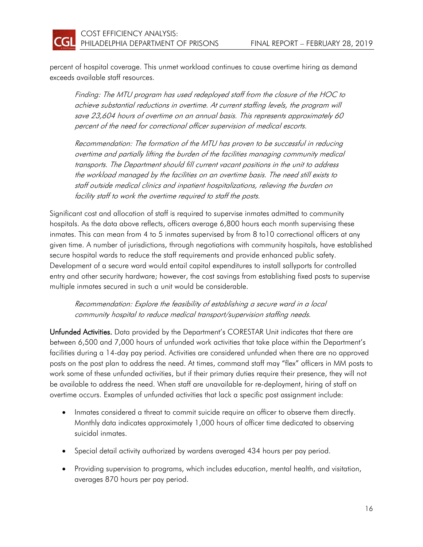**CGI** 

percent of hospital coverage. This unmet workload continues to cause overtime hiring as demand exceeds available staff resources.

Finding: The MTU program has used redeployed staff from the closure of the HOC to achieve substantial reductions in overtime. At current staffing levels, the program will save 23,604 hours of overtime on an annual basis. This represents approximately 60 percent of the need for correctional officer supervision of medical escorts.

Recommendation: The formation of the MTU has proven to be successful in reducing overtime and partially lifting the burden of the facilities managing community medical transports. The Department should fill current vacant positions in the unit to address the workload managed by the facilities on an overtime basis. The need still exists to staff outside medical clinics and inpatient hospitalizations, relieving the burden on facility staff to work the overtime required to staff the posts.

Significant cost and allocation of staff is required to supervise inmates admitted to community hospitals. As the data above reflects, officers average 6,800 hours each month supervising these inmates. This can mean from 4 to 5 inmates supervised by from 8 to10 correctional officers at any given time. A number of jurisdictions, through negotiations with community hospitals, have established secure hospital wards to reduce the staff requirements and provide enhanced public safety. Development of a secure ward would entail capital expenditures to install sallyports for controlled entry and other security hardware; however, the cost savings from establishing fixed posts to supervise multiple inmates secured in such a unit would be considerable.

Recommendation: Explore the feasibility of establishing a secure ward in a local community hospital to reduce medical transport/supervision staffing needs.

Unfunded Activities. Data provided by the Department's CORESTAR Unit indicates that there are between 6,500 and 7,000 hours of unfunded work activities that take place within the Department's facilities during a 14-day pay period. Activities are considered unfunded when there are no approved posts on the post plan to address the need. At times, command staff may "flex" officers in MM posts to work some of these unfunded activities, but if their primary duties require their presence, they will not be available to address the need. When staff are unavailable for re-deployment, hiring of staff on overtime occurs. Examples of unfunded activities that lack a specific post assignment include:

- Inmates considered a threat to commit suicide require an officer to observe them directly. Monthly data indicates approximately 1,000 hours of officer time dedicated to observing suicidal inmates.
- Special detail activity authorized by wardens averaged 434 hours per pay period.
- Providing supervision to programs, which includes education, mental health, and visitation, averages 870 hours per pay period.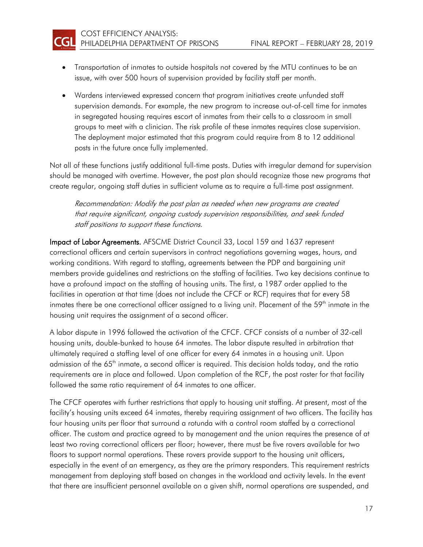

- Transportation of inmates to outside hospitals not covered by the MTU continues to be an issue, with over 500 hours of supervision provided by facility staff per month.
- Wardens interviewed expressed concern that program initiatives create unfunded staff supervision demands. For example, the new program to increase out-of-cell time for inmates in segregated housing requires escort of inmates from their cells to a classroom in small groups to meet with a clinician. The risk profile of these inmates requires close supervision. The deployment major estimated that this program could require from 8 to 12 additional posts in the future once fully implemented.

Not all of these functions justify additional full-time posts. Duties with irregular demand for supervision should be managed with overtime. However, the post plan should recognize those new programs that create regular, ongoing staff duties in sufficient volume as to require a full-time post assignment.

Recommendation: Modify the post plan as needed when new programs are created that require significant, ongoing custody supervision responsibilities, and seek funded staff positions to support these functions.

Impact of Labor Agreements. AFSCME District Council 33, Local 159 and 1637 represent correctional officers and certain supervisors in contract negotiations governing wages, hours, and working conditions. With regard to staffing, agreements between the PDP and bargaining unit members provide guidelines and restrictions on the staffing of facilities. Two key decisions continue to have a profound impact on the staffing of housing units. The first, a 1987 order applied to the facilities in operation at that time (does not include the CFCF or RCF) requires that for every 58 inmates there be one correctional officer assigned to a living unit. Placement of the 59<sup>th</sup> inmate in the housing unit requires the assignment of a second officer.

A labor dispute in 1996 followed the activation of the CFCF. CFCF consists of a number of 32-cell housing units, double-bunked to house 64 inmates. The labor dispute resulted in arbitration that ultimately required a staffing level of one officer for every 64 inmates in a housing unit. Upon admission of the 65<sup>th</sup> inmate, a second officer is required. This decision holds today, and the ratio requirements are in place and followed. Upon completion of the RCF, the post roster for that facility followed the same ratio requirement of 64 inmates to one officer.

The CFCF operates with further restrictions that apply to housing unit staffing. At present, most of the facility's housing units exceed 64 inmates, thereby requiring assignment of two officers. The facility has four housing units per floor that surround a rotunda with a control room staffed by a correctional officer. The custom and practice agreed to by management and the union requires the presence of at least two roving correctional officers per floor; however, there must be five rovers available for two floors to support normal operations. These rovers provide support to the housing unit officers, especially in the event of an emergency, as they are the primary responders. This requirement restricts management from deploying staff based on changes in the workload and activity levels. In the event that there are insufficient personnel available on a given shift, normal operations are suspended, and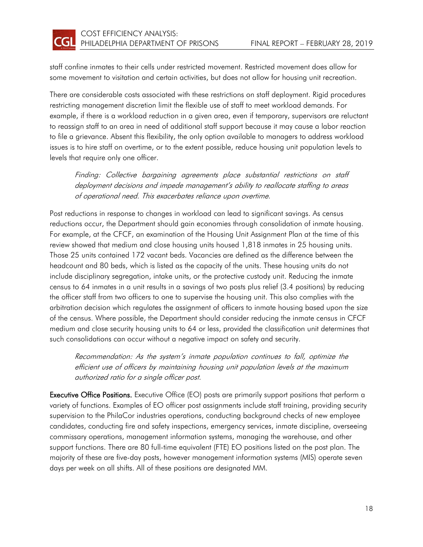

staff confine inmates to their cells under restricted movement. Restricted movement does allow for some movement to visitation and certain activities, but does not allow for housing unit recreation.

There are considerable costs associated with these restrictions on staff deployment. Rigid procedures restricting management discretion limit the flexible use of staff to meet workload demands. For example, if there is a workload reduction in a given area, even if temporary, supervisors are reluctant to reassign staff to an area in need of additional staff support because it may cause a labor reaction to file a grievance. Absent this flexibility, the only option available to managers to address workload issues is to hire staff on overtime, or to the extent possible, reduce housing unit population levels to levels that require only one officer.

Finding: Collective bargaining agreements place substantial restrictions on staff deployment decisions and impede management's ability to reallocate staffing to areas of operational need. This exacerbates reliance upon overtime.

Post reductions in response to changes in workload can lead to significant savings. As census reductions occur, the Department should gain economies through consolidation of inmate housing. For example, at the CFCF, an examination of the Housing Unit Assignment Plan at the time of this review showed that medium and close housing units housed 1,818 inmates in 25 housing units. Those 25 units contained 172 vacant beds. Vacancies are defined as the difference between the headcount and 80 beds, which is listed as the capacity of the units. These housing units do not include disciplinary segregation, intake units, or the protective custody unit. Reducing the inmate census to 64 inmates in a unit results in a savings of two posts plus relief (3.4 positions) by reducing the officer staff from two officers to one to supervise the housing unit. This also complies with the arbitration decision which regulates the assignment of officers to inmate housing based upon the size of the census. Where possible, the Department should consider reducing the inmate census in CFCF medium and close security housing units to 64 or less, provided the classification unit determines that such consolidations can occur without a negative impact on safety and security.

Recommendation: As the system's inmate population continues to fall, optimize the efficient use of officers by maintaining housing unit population levels at the maximum authorized ratio for a single officer post.

Executive Office Positions. Executive Office (EO) posts are primarily support positions that perform a variety of functions. Examples of EO officer post assignments include staff training, providing security supervision to the PhilaCor industries operations, conducting background checks of new employee candidates, conducting fire and safety inspections, emergency services, inmate discipline, overseeing commissary operations, management information systems, managing the warehouse, and other support functions. There are 80 full-time equivalent (FTE) EO positions listed on the post plan. The majority of these are five-day posts, however management information systems (MIS) operate seven days per week on all shifts. All of these positions are designated MM.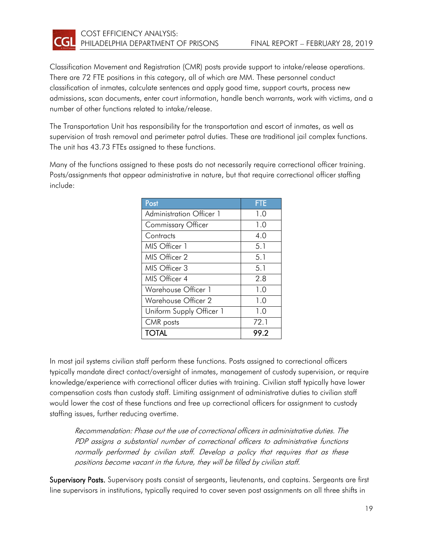

Classification Movement and Registration (CMR) posts provide support to intake/release operations. There are 72 FTE positions in this category, all of which are MM. These personnel conduct classification of inmates, calculate sentences and apply good time, support courts, process new admissions, scan documents, enter court information, handle bench warrants, work with victims, and a number of other functions related to intake/release.

The Transportation Unit has responsibility for the transportation and escort of inmates, as well as supervision of trash removal and perimeter patrol duties. These are traditional jail complex functions. The unit has 43.73 FTEs assigned to these functions.

Many of the functions assigned to these posts do not necessarily require correctional officer training. Posts/assignments that appear administrative in nature, but that require correctional officer staffing include:

| Post                            | <b>FTE</b> |
|---------------------------------|------------|
| <b>Administration Officer 1</b> | 1.0        |
| <b>Commissary Officer</b>       | 1.0        |
| Contracts                       | 4.0        |
| MIS Officer 1                   | 5.1        |
| MIS Officer 2                   | 5.1        |
| MIS Officer 3                   | 5.1        |
| MIS Officer 4                   | 2.8        |
| Warehouse Officer 1             | 1.0        |
| Warehouse Officer 2             | 1.0        |
| Uniform Supply Officer 1        | 1.0        |
| CMR posts                       | 72.1       |
| <b>TOTAL</b>                    | 99.2       |

In most jail systems civilian staff perform these functions. Posts assigned to correctional officers typically mandate direct contact/oversight of inmates, management of custody supervision, or require knowledge/experience with correctional officer duties with training. Civilian staff typically have lower compensation costs than custody staff. Limiting assignment of administrative duties to civilian staff would lower the cost of these functions and free up correctional officers for assignment to custody staffing issues, further reducing overtime.

Recommendation: Phase out the use of correctional officers in administrative duties. The PDP assigns a substantial number of correctional officers to administrative functions normally performed by civilian staff. Develop a policy that requires that as these positions become vacant in the future, they will be filled by civilian staff.

Supervisory Posts. Supervisory posts consist of sergeants, lieutenants, and captains. Sergeants are first line supervisors in institutions, typically required to cover seven post assignments on all three shifts in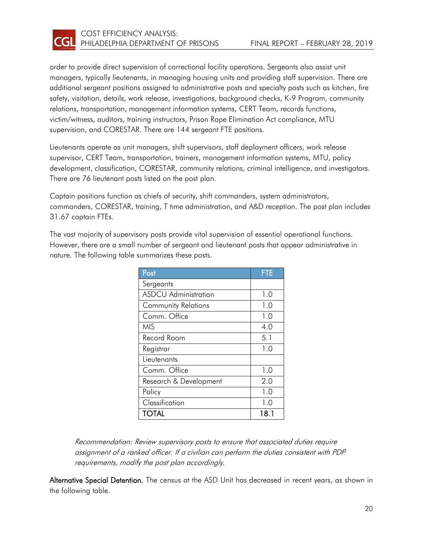

order to provide direct supervision of correctional facility operations. Sergeants also assist unit managers, typically lieutenants, in managing housing units and providing staff supervision. There are additional sergeant positions assigned to administrative posts and specialty posts such as kitchen, fire safety, visitation, details, work release, investigations, background checks, K-9 Program, community relations, transportation, management information systems, CERT Team, records functions, victim/witness, auditors, training instructors, Prison Rape Elimination Act compliance, MTU supervision, and CORESTAR. There are 144 sergeant FTE positions.

Lieutenants operate as unit managers, shift supervisors, staff deployment officers, work release supervisor, CERT Team, transportation, trainers, management information systems, MTU, policy development, classification, CORESTAR, community relations, criminal intelligence, and investigators. There are 76 lieutenant posts listed on the post plan.

Captain positions function as chiefs of security, shift commanders, system administrators, commanders, CORESTAR, training, T time administration, and A&D reception. The post plan includes 31.67 captain FTEs.

The vast majority of supervisory posts provide vital supervision of essential operational functions. However, there are a small number of sergeant and lieutenant posts that appear administrative in nature. The following table summarizes these posts.

| Post                        | <b>FTE</b> |
|-----------------------------|------------|
| Sergeants                   |            |
| <b>ASDCU</b> Administration | 1.0        |
| <b>Community Relations</b>  | 1.0        |
| Comm. Office                | 1.0        |
| <b>MIS</b>                  | 4.0        |
| Record Room                 | 5.1        |
| Registrar                   | 1.0        |
| Lieutenants                 |            |
| Comm. Office                | 1.0        |
| Research & Development      | 2.0        |
| Policy                      | 1.0        |
| Classification              | 1.0        |
| <b>TOTAL</b>                | 18.1       |

Recommendation: Review supervisory posts to ensure that associated duties require assignment of a ranked officer. If a civilian can perform the duties consistent with PDP requirements, modify the post plan accordingly.

Alternative Special Detention. The census at the ASD Unit has decreased in recent years, as shown in the following table.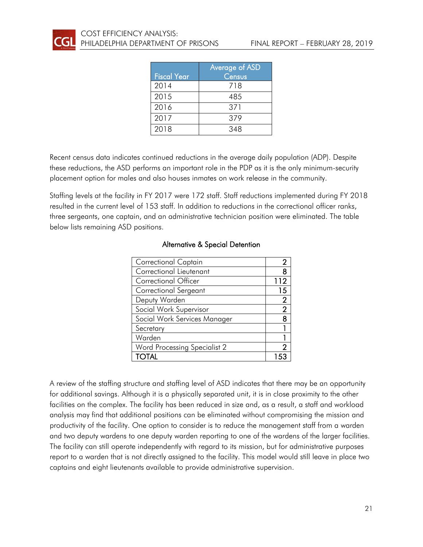|                    | Average of ASD |
|--------------------|----------------|
| <b>Fiscal Year</b> | Census         |
| 2014               | 718            |
| 2015               | 485            |
| 2016               | 371            |
| 2017               | 379            |
| 2018               | 348            |

Recent census data indicates continued reductions in the average daily population (ADP). Despite these reductions, the ASD performs an important role in the PDP as it is the only minimum-security placement option for males and also houses inmates on work release in the community.

Staffing levels at the facility in FY 2017 were 172 staff. Staff reductions implemented during FY 2018 resulted in the current level of 153 staff. In addition to reductions in the correctional officer ranks, three sergeants, one captain, and an administrative technician position were eliminated. The table below lists remaining ASD positions.

| <b>Correctional Captain</b>  |                |
|------------------------------|----------------|
| Correctional Lieutenant      | 8              |
| <b>Correctional Officer</b>  | 112            |
| Correctional Sergeant        | 15             |
| Deputy Warden                | $\mathbf{2}$   |
| Social Work Supervisor       | $\overline{2}$ |
| Social Work Services Manager | 8              |
| Secretary                    |                |
| Warden                       |                |
| Word Processing Specialist 2 | 2              |
| <b>TOTAL</b>                 |                |

#### Alternative & Special Detention

A review of the staffing structure and staffing level of ASD indicates that there may be an opportunity for additional savings. Although it is a physically separated unit, it is in close proximity to the other facilities on the complex. The facility has been reduced in size and, as a result, a staff and workload analysis may find that additional positions can be eliminated without compromising the mission and productivity of the facility. One option to consider is to reduce the management staff from a warden and two deputy wardens to one deputy warden reporting to one of the wardens of the larger facilities. The facility can still operate independently with regard to its mission, but for administrative purposes report to a warden that is not directly assigned to the facility. This model would still leave in place two captains and eight lieutenants available to provide administrative supervision.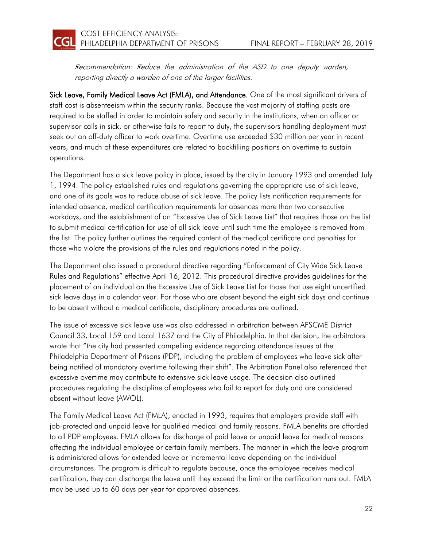Recommendation: Reduce the administration of the ASD to one deputy warden, reporting directly a warden of one of the larger facilities.

Sick Leave, Family Medical Leave Act (FMLA), and Attendance. One of the most significant drivers of staff cost is absenteeism within the security ranks. Because the vast majority of staffing posts are required to be staffed in order to maintain safety and security in the institutions, when an officer or supervisor calls in sick, or otherwise fails to report to duty, the supervisors handling deployment must seek out an off-duty officer to work overtime. Overtime use exceeded \$30 million per year in recent years, and much of these expenditures are related to backfilling positions on overtime to sustain operations.

The Department has a sick leave policy in place, issued by the city in January 1993 and amended July 1, 1994. The policy established rules and regulations governing the appropriate use of sick leave, and one of its goals was to reduce abuse of sick leave. The policy lists notification requirements for intended absence, medical certification requirements for absences more than two consecutive workdays, and the establishment of an "Excessive Use of Sick Leave List" that requires those on the list to submit medical certification for use of all sick leave until such time the employee is removed from the list. The policy further outlines the required content of the medical certificate and penalties for those who violate the provisions of the rules and regulations noted in the policy.

The Department also issued a procedural directive regarding "Enforcement of City Wide Sick Leave Rules and Regulations" effective April 16, 2012. This procedural directive provides guidelines for the placement of an individual on the Excessive Use of Sick Leave List for those that use eight uncertified sick leave days in a calendar year. For those who are absent beyond the eight sick days and continue to be absent without a medical certificate, disciplinary procedures are outlined.

The issue of excessive sick leave use was also addressed in arbitration between AFSCME District Council 33, Local 159 and Local 1637 and the City of Philadelphia. In that decision, the arbitrators wrote that "the city had presented compelling evidence regarding attendance issues at the Philadelphia Department of Prisons (PDP), including the problem of employees who leave sick after being notified of mandatory overtime following their shift". The Arbitration Panel also referenced that excessive overtime may contribute to extensive sick leave usage. The decision also outlined procedures regulating the discipline of employees who fail to report for duty and are considered absent without leave (AWOL).

The Family Medical Leave Act (FMLA), enacted in 1993, requires that employers provide staff with job-protected and unpaid leave for qualified medical and family reasons. FMLA benefits are afforded to all PDP employees. FMLA allows for discharge of paid leave or unpaid leave for medical reasons affecting the individual employee or certain family members. The manner in which the leave program is administered allows for extended leave or incremental leave depending on the individual circumstances. The program is difficult to regulate because, once the employee receives medical certification, they can discharge the leave until they exceed the limit or the certification runs out. FMLA may be used up to 60 days per year for approved absences.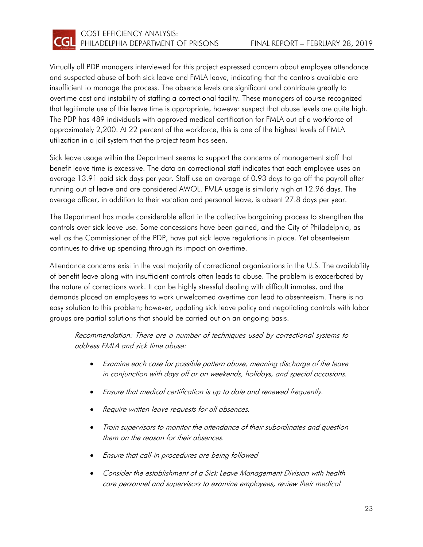

Virtually all PDP managers interviewed for this project expressed concern about employee attendance and suspected abuse of both sick leave and FMLA leave, indicating that the controls available are insufficient to manage the process. The absence levels are significant and contribute greatly to overtime cost and instability of staffing a correctional facility. These managers of course recognized that legitimate use of this leave time is appropriate, however suspect that abuse levels are quite high. The PDP has 489 individuals with approved medical certification for FMLA out of a workforce of approximately 2,200. At 22 percent of the workforce, this is one of the highest levels of FMLA utilization in a jail system that the project team has seen.

Sick leave usage within the Department seems to support the concerns of management staff that benefit leave time is excessive. The data on correctional staff indicates that each employee uses on average 13.91 paid sick days per year. Staff use an average of 0.93 days to go off the payroll after running out of leave and are considered AWOL. FMLA usage is similarly high at 12.96 days. The average officer, in addition to their vacation and personal leave, is absent 27.8 days per year.

The Department has made considerable effort in the collective bargaining process to strengthen the controls over sick leave use. Some concessions have been gained, and the City of Philadelphia, as well as the Commissioner of the PDP, have put sick leave regulations in place. Yet absenteeism continues to drive up spending through its impact on overtime.

Attendance concerns exist in the vast majority of correctional organizations in the U.S. The availability of benefit leave along with insufficient controls often leads to abuse. The problem is exacerbated by the nature of corrections work. It can be highly stressful dealing with difficult inmates, and the demands placed on employees to work unwelcomed overtime can lead to absenteeism. There is no easy solution to this problem; however, updating sick leave policy and negotiating controls with labor groups are partial solutions that should be carried out on an ongoing basis.

Recommendation: There are a number of techniques used by correctional systems to address FMLA and sick time abuse:

- Examine each case for possible pattern abuse, meaning discharge of the leave in conjunction with days off or on weekends, holidays, and special occasions.
- Ensure that medical certification is up to date and renewed frequently.
- Require written leave requests for all absences.
- Train supervisors to monitor the attendance of their subordinates and question them on the reason for their absences.
- Ensure that call-in procedures are being followed
- Consider the establishment of a Sick Leave Management Division with health care personnel and supervisors to examine employees, review their medical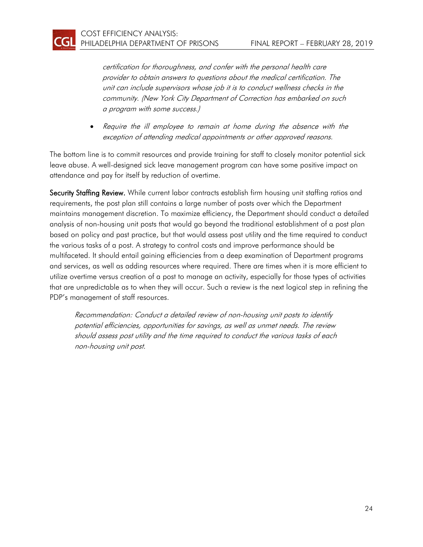CGI

certification for thoroughness, and confer with the personal health care provider to obtain answers to questions about the medical certification. The unit can include supervisors whose job it is to conduct wellness checks in the community. (New York City Department of Correction has embarked on such a program with some success.)

• Require the ill employee to remain at home during the absence with the exception of attending medical appointments or other approved reasons.

The bottom line is to commit resources and provide training for staff to closely monitor potential sick leave abuse. A well-designed sick leave management program can have some positive impact on attendance and pay for itself by reduction of overtime.

Security Staffing Review. While current labor contracts establish firm housing unit staffing ratios and requirements, the post plan still contains a large number of posts over which the Department maintains management discretion. To maximize efficiency, the Department should conduct a detailed analysis of non-housing unit posts that would go beyond the traditional establishment of a post plan based on policy and past practice, but that would assess post utility and the time required to conduct the various tasks of a post. A strategy to control costs and improve performance should be multifaceted. It should entail gaining efficiencies from a deep examination of Department programs and services, as well as adding resources where required. There are times when it is more efficient to utilize overtime versus creation of a post to manage an activity, especially for those types of activities that are unpredictable as to when they will occur. Such a review is the next logical step in refining the PDP's management of staff resources.

Recommendation: Conduct a detailed review of non-housing unit posts to identify potential efficiencies, opportunities for savings, as well as unmet needs. The review should assess post utility and the time required to conduct the various tasks of each non-housing unit post.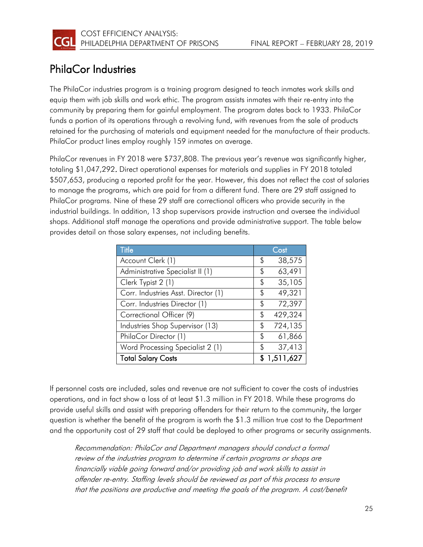

### <span id="page-27-0"></span>PhilaCor Industries

The PhilaCor industries program is a training program designed to teach inmates work skills and equip them with job skills and work ethic. The program assists inmates with their re-entry into the community by preparing them for gainful employment. The program dates back to 1933. PhilaCor funds a portion of its operations through a revolving fund, with revenues from the sale of products retained for the purchasing of materials and equipment needed for the manufacture of their products. PhilaCor product lines employ roughly 159 inmates on average.

PhilaCor revenues in FY 2018 were \$737,808. The previous year's revenue was significantly higher, totaling \$1,047,292. Direct operational expenses for materials and supplies in FY 2018 totaled \$507,653, producing a reported profit for the year. However, this does not reflect the cost of salaries to manage the programs, which are paid for from a different fund. There are 29 staff assigned to PhilaCor programs. Nine of these 29 staff are correctional officers who provide security in the industrial buildings. In addition, 13 shop supervisors provide instruction and oversee the individual shops. Additional staff manage the operations and provide administrative support. The table below provides detail on those salary expenses, not including benefits.

| <b>Title</b>                        |    | Cost        |
|-------------------------------------|----|-------------|
| Account Clerk (1)                   | S  | 38,575      |
| Administrative Specialist II (1)    | \$ | 63,491      |
| Clerk Typist 2 (1)                  | S  | 35,105      |
| Corr. Industries Asst. Director (1) | \$ | 49,321      |
| Corr. Industries Director (1)       | \$ | 72,397      |
| Correctional Officer (9)            | \$ | 429,324     |
| Industries Shop Supervisor (13)     | \$ | 724,135     |
| PhilaCor Director (1)               | \$ | 61,866      |
| Word Processing Specialist 2 (1)    | \$ | 37,413      |
| <b>Total Salary Costs</b>           |    | \$1,511,627 |

If personnel costs are included, sales and revenue are not sufficient to cover the costs of industries operations, and in fact show a loss of at least \$1.3 million in FY 2018. While these programs do provide useful skills and assist with preparing offenders for their return to the community, the larger question is whether the benefit of the program is worth the \$1.3 million true cost to the Department and the opportunity cost of 29 staff that could be deployed to other programs or security assignments.

Recommendation: PhilaCor and Department managers should conduct a formal review of the industries program to determine if certain programs or shops are financially viable going forward and/or providing job and work skills to assist in offender re-entry. Staffing levels should be reviewed as part of this process to ensure that the positions are productive and meeting the goals of the program. A cost/benefit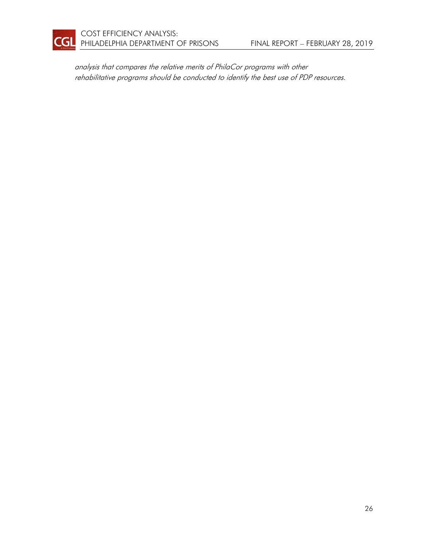

analysis that compares the relative merits of PhilaCor programs with other rehabilitative programs should be conducted to identify the best use of PDP resources.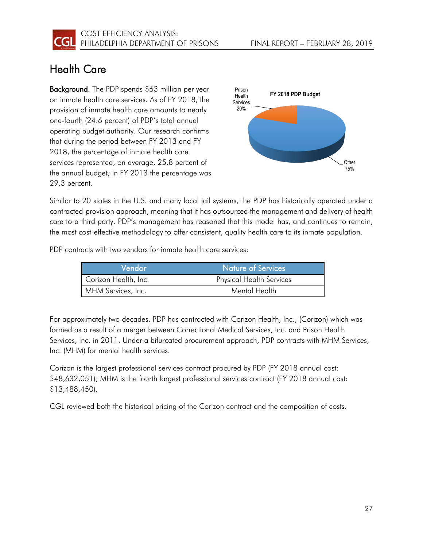

### <span id="page-29-0"></span>Health Care

Background. The PDP spends \$63 million per year on inmate health care services. As of FY 2018, the provision of inmate health care amounts to nearly one-fourth (24.6 percent) of PDP's total annual operating budget authority. Our research confirms that during the period between FY 2013 and FY 2018, the percentage of inmate health care services represented, on average, 25.8 percent of the annual budget; in FY 2013 the percentage was 29.3 percent.



Similar to 20 states in the U.S. and many local jail systems, the PDP has historically operated under a contracted-provision approach, meaning that it has outsourced the management and delivery of health care to a third party. PDP's management has reasoned that this model has, and continues to remain, the most cost-effective methodology to offer consistent, quality health care to its inmate population.

PDP contracts with two vendors for inmate health care services:

| Vendor               | Nature of Services              |
|----------------------|---------------------------------|
| Corizon Health, Inc. | <b>Physical Health Services</b> |
| MHM Services, Inc.   | Mental Health                   |

For approximately two decades, PDP has contracted with Corizon Health, Inc., (Corizon) which was formed as a result of a merger between Correctional Medical Services, Inc. and Prison Health Services, Inc. in 2011. Under a bifurcated procurement approach, PDP contracts with MHM Services, Inc. (MHM) for mental health services.

Corizon is the largest professional services contract procured by PDP (FY 2018 annual cost: \$48,632,051); MHM is the fourth largest professional services contract (FY 2018 annual cost: \$13,488,450).

CGL reviewed both the historical pricing of the Corizon contract and the composition of costs.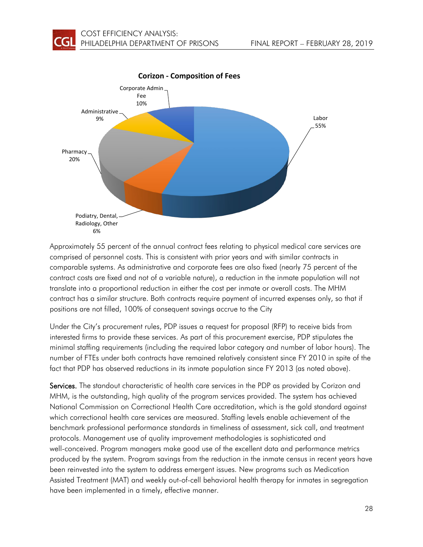

Approximately 55 percent of the annual contract fees relating to physical medical care services are comprised of personnel costs. This is consistent with prior years and with similar contracts in comparable systems. As administrative and corporate fees are also fixed (nearly 75 percent of the contract costs are fixed and not of a variable nature), a reduction in the inmate population will not translate into a proportional reduction in either the cost per inmate or overall costs. The MHM contract has a similar structure. Both contracts require payment of incurred expenses only, so that if positions are not filled, 100% of consequent savings accrue to the City

Under the City's procurement rules, PDP issues a request for proposal (RFP) to receive bids from interested firms to provide these services. As part of this procurement exercise, PDP stipulates the minimal staffing requirements (including the required labor category and number of labor hours). The number of FTEs under both contracts have remained relatively consistent since FY 2010 in spite of the fact that PDP has observed reductions in its inmate population since FY 2013 (as noted above).

Services. The standout characteristic of health care services in the PDP as provided by Corizon and MHM, is the outstanding, high quality of the program services provided. The system has achieved National Commission on Correctional Health Care accreditation, which is the gold standard against which correctional health care services are measured. Staffing levels enable achievement of the benchmark professional performance standards in timeliness of assessment, sick call, and treatment protocols. Management use of quality improvement methodologies is sophisticated and well-conceived. Program managers make good use of the excellent data and performance metrics produced by the system. Program savings from the reduction in the inmate census in recent years have been reinvested into the system to address emergent issues. New programs such as Medication Assisted Treatment (MAT) and weekly out-of-cell behavioral health therapy for inmates in segregation have been implemented in a timely, effective manner.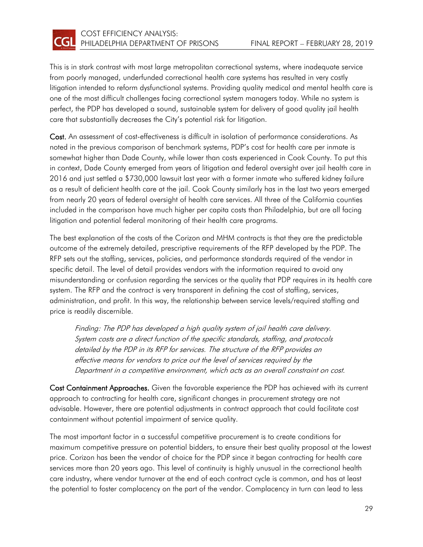

This is in stark contrast with most large metropolitan correctional systems, where inadequate service from poorly managed, underfunded correctional health care systems has resulted in very costly litigation intended to reform dysfunctional systems. Providing quality medical and mental health care is one of the most difficult challenges facing correctional system managers today. While no system is perfect, the PDP has developed a sound, sustainable system for delivery of good quality jail health care that substantially decreases the City's potential risk for litigation.

Cost. An assessment of cost-effectiveness is difficult in isolation of performance considerations. As noted in the previous comparison of benchmark systems, PDP's cost for health care per inmate is somewhat higher than Dade County, while lower than costs experienced in Cook County. To put this in context, Dade County emerged from years of litigation and federal oversight over jail health care in 2016 and just settled a \$730,000 lawsuit last year with a former inmate who suffered kidney failure as a result of deficient health care at the jail. Cook County similarly has in the last two years emerged from nearly 20 years of federal oversight of health care services. All three of the California counties included in the comparison have much higher per capita costs than Philadelphia, but are all facing litigation and potential federal monitoring of their health care programs.

The best explanation of the costs of the Corizon and MHM contracts is that they are the predictable outcome of the extremely detailed, prescriptive requirements of the RFP developed by the PDP. The RFP sets out the staffing, services, policies, and performance standards required of the vendor in specific detail. The level of detail provides vendors with the information required to avoid any misunderstanding or confusion regarding the services or the quality that PDP requires in its health care system. The RFP and the contract is very transparent in defining the cost of staffing, services, administration, and profit. In this way, the relationship between service levels/required staffing and price is readily discernible.

Finding: The PDP has developed a high quality system of jail health care delivery. System costs are a direct function of the specific standards, staffing, and protocols detailed by the PDP in its RFP for services. The structure of the RFP provides an effective means for vendors to price out the level of services required by the Department in a competitive environment, which acts as an overall constraint on cost.

Cost Containment Approaches. Given the favorable experience the PDP has achieved with its current approach to contracting for health care, significant changes in procurement strategy are not advisable. However, there are potential adjustments in contract approach that could facilitate cost containment without potential impairment of service quality.

The most important factor in a successful competitive procurement is to create conditions for maximum competitive pressure on potential bidders, to ensure their best quality proposal at the lowest price. Corizon has been the vendor of choice for the PDP since it began contracting for health care services more than 20 years ago. This level of continuity is highly unusual in the correctional health care industry, where vendor turnover at the end of each contract cycle is common, and has at least the potential to foster complacency on the part of the vendor. Complacency in turn can lead to less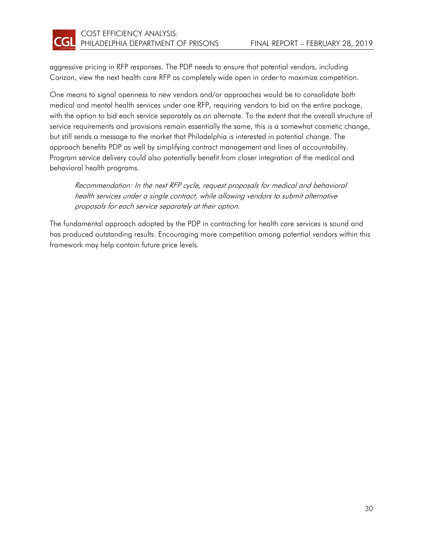

aggressive pricing in RFP responses. The PDP needs to ensure that potential vendors, including Corizon, view the next health care RFP as completely wide open in order to maximize competition.

One means to signal openness to new vendors and/or approaches would be to consolidate both medical and mental health services under one RFP, requiring vendors to bid on the entire package, with the option to bid each service separately as an alternate. To the extent that the overall structure of service requirements and provisions remain essentially the same, this is a somewhat cosmetic change, but still sends a message to the market that Philadelphia is interested in potential change. The approach benefits PDP as well by simplifying contract management and lines of accountability. Program service delivery could also potentially benefit from closer integration of the medical and behavioral health programs.

Recommendation: In the next RFP cycle, request proposals for medical and behavioral health services under a single contract, while allowing vendors to submit alternative proposals for each service separately at their option.

The fundamental approach adopted by the PDP in contracting for health care services is sound and has produced outstanding results. Encouraging more competition among potential vendors within this framework may help contain future price levels.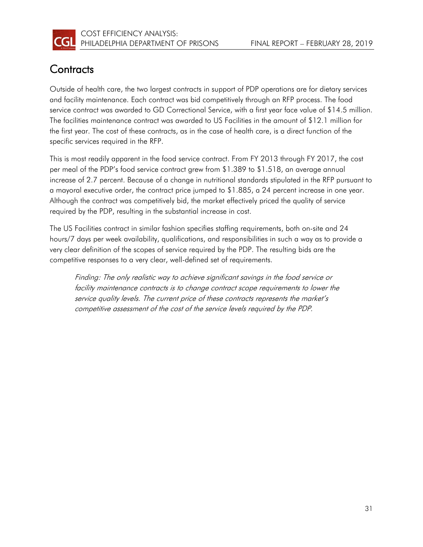

### <span id="page-33-0"></span>**Contracts**

Outside of health care, the two largest contracts in support of PDP operations are for dietary services and facility maintenance. Each contract was bid competitively through an RFP process. The food service contract was awarded to GD Correctional Service, with a first year face value of \$14.5 million. The facilities maintenance contract was awarded to US Facilities in the amount of \$12.1 million for the first year. The cost of these contracts, as in the case of health care, is a direct function of the specific services required in the RFP.

This is most readily apparent in the food service contract. From FY 2013 through FY 2017, the cost per meal of the PDP's food service contract grew from \$1.389 to \$1.518, an average annual increase of 2.7 percent. Because of a change in nutritional standards stipulated in the RFP pursuant to a mayoral executive order, the contract price jumped to \$1.885, a 24 percent increase in one year. Although the contract was competitively bid, the market effectively priced the quality of service required by the PDP, resulting in the substantial increase in cost.

The US Facilities contract in similar fashion specifies staffing requirements, both on-site and 24 hours/7 days per week availability, qualifications, and responsibilities in such a way as to provide a very clear definition of the scopes of service required by the PDP. The resulting bids are the competitive responses to a very clear, well-defined set of requirements.

Finding: The only realistic way to achieve significant savings in the food service or facility maintenance contracts is to change contract scope requirements to lower the service quality levels. The current price of these contracts represents the market's competitive assessment of the cost of the service levels required by the PDP.